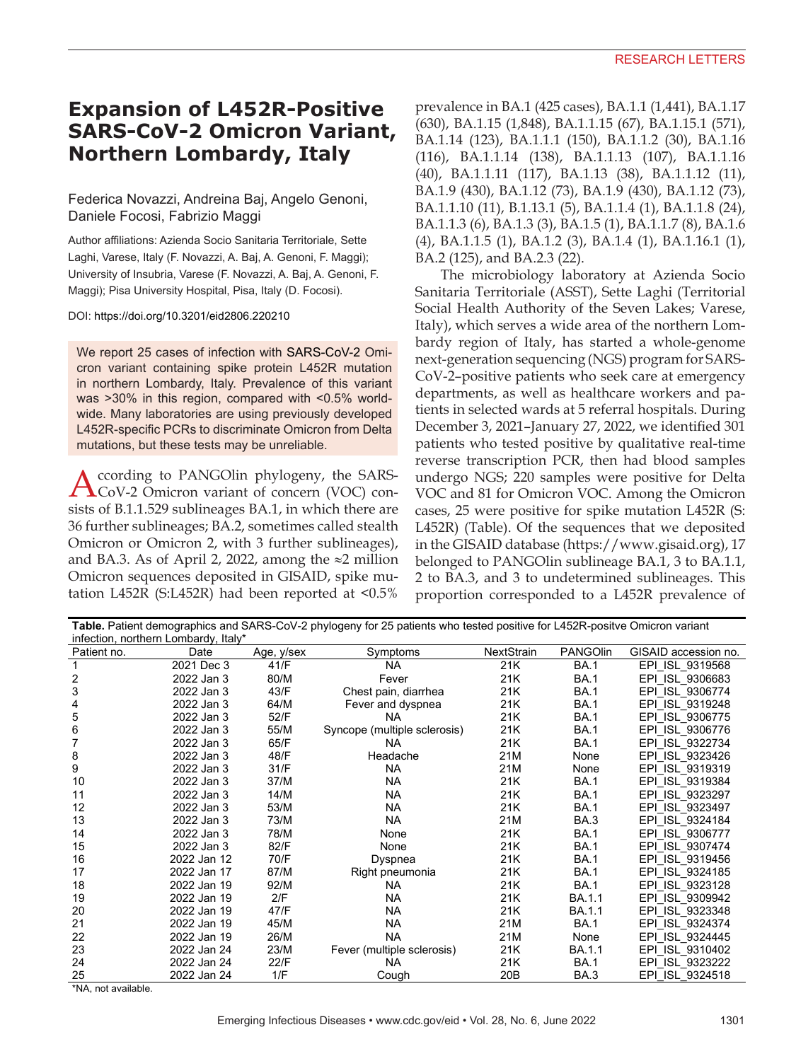## **Expansion of L452R-Positive SARS-CoV-2 Omicron Variant, Northern Lombardy, Italy**

## Federica Novazzi, Andreina Baj, Angelo Genoni, Daniele Focosi, Fabrizio Maggi

Author affiliations: Azienda Socio Sanitaria Territoriale, Sette Laghi, Varese, Italy (F. Novazzi, A. Baj, A. Genoni, F. Maggi); University of Insubria, Varese (F. Novazzi, A. Baj, A. Genoni, F. Maggi); Pisa University Hospital, Pisa, Italy (D. Focosi).

DOI: https://doi.org/10.3201/eid2806.220210

We report 25 cases of infection with SARS-CoV-2 Omicron variant containing spike protein L452R mutation in northern Lombardy, Italy. Prevalence of this variant was >30% in this region, compared with <0.5% worldwide. Many laboratories are using previously developed L452R-specific PCRs to discriminate Omicron from Delta mutations, but these tests may be unreliable.

According to PANGOlin phylogeny, the SARS-<br>CoV-2 Omicron variant of concern (VOC) consists of B.1.1.529 sublineages BA.1, in which there are 36 further sublineages; BA.2, sometimes called stealth Omicron or Omicron 2, with 3 further sublineages), and BA.3. As of April 2, 2022, among the ≈2 million Omicron sequences deposited in GISAID, spike mutation L452R (S:L452R) had been reported at <0.5%

prevalence in BA.1 (425 cases), BA.1.1 (1,441), BA.1.17 (630), BA.1.15 (1,848), BA.1.1.15 (67), BA.1.15.1 (571), BA.1.14 (123), BA.1.1.1 (150), BA.1.1.2 (30), BA.1.16 (116), BA.1.1.14 (138), BA.1.1.13 (107), BA.1.1.16 (40), BA.1.1.11 (117), BA.1.13 (38), BA.1.1.12 (11), BA.1.9 (430), BA.1.12 (73), BA.1.9 (430), BA.1.12 (73), BA.1.1.10 (11), B.1.13.1 (5), BA.1.1.4 (1), BA.1.1.8 (24), BA.1.1.3 (6), BA.1.3 (3), BA.1.5 (1), BA.1.1.7 (8), BA.1.6 (4), BA.1.1.5 (1), BA.1.2 (3), BA.1.4 (1), BA.1.16.1 (1), BA.2 (125), and BA.2.3 (22).

The microbiology laboratory at Azienda Socio Sanitaria Territoriale (ASST), Sette Laghi (Territorial Social Health Authority of the Seven Lakes; Varese, Italy), which serves a wide area of the northern Lombardy region of Italy, has started a whole-genome next-generation sequencing (NGS) program for SARS-CoV-2–positive patients who seek care at emergency departments, as well as healthcare workers and patients in selected wards at 5 referral hospitals. During December 3, 2021–January 27, 2022, we identified 301 patients who tested positive by qualitative real-time reverse transcription PCR, then had blood samples undergo NGS; 220 samples were positive for Delta VOC and 81 for Omicron VOC. Among the Omicron cases, 25 were positive for spike mutation L452R (S: L452R) (Table). Of the sequences that we deposited in the GISAID database (https://www.gisaid.org), 17 belonged to PANGOlin sublineage BA.1, 3 to BA.1.1, 2 to BA.3, and 3 to undetermined sublineages. This proportion corresponded to a L452R prevalence of

**Table.** Patient demographics and SARS-CoV-2 phylogeny for 25 patients who tested positive for L452R-positve Omicron variant infection, northern Lombardy, Italy\*

| 1.10<br>Patient no. | Date        | Age, y/sex | Symptoms                     | NextStrain      | <b>PANGOlin</b> | GISAID accession no. |
|---------------------|-------------|------------|------------------------------|-----------------|-----------------|----------------------|
|                     | 2021 Dec 3  | 41/F       | <b>NA</b>                    | 21K             | <b>BA.1</b>     | EPI ISL 9319568      |
| 2                   | 2022 Jan 3  | 80/M       | Fever                        | 21K             | <b>BA.1</b>     | EPI ISL 9306683      |
| 3                   | 2022 Jan 3  | 43/F       | Chest pain, diarrhea         | 21K             | <b>BA.1</b>     | EPI ISL 9306774      |
| 4                   | 2022 Jan 3  | 64/M       | Fever and dyspnea            | 21K             | <b>BA.1</b>     | EPI ISL_9319248      |
| 5                   | 2022 Jan 3  | 52/F       | <b>NA</b>                    | 21K             | <b>BA.1</b>     | EPI ISL 9306775      |
| 6                   | 2022 Jan 3  | 55/M       | Syncope (multiple sclerosis) | 21K             | <b>BA.1</b>     | EPI ISL 9306776      |
|                     | 2022 Jan 3  | 65/F       | <b>NA</b>                    | 21K             | <b>BA.1</b>     | EPI ISL 9322734      |
| 8                   | 2022 Jan 3  | 48/F       | Headache                     | 21M             | None            | EPI ISL 9323426      |
| 9                   | 2022 Jan 3  | 31/F       | <b>NA</b>                    | 21M             | None            | EPI ISL 9319319      |
| 10                  | 2022 Jan 3  | 37/M       | <b>NA</b>                    | 21K             | <b>BA.1</b>     | EPI ISL_9319384      |
| 11                  | 2022 Jan 3  | 14/M       | <b>NA</b>                    | 21K             | <b>BA.1</b>     | EPI ISL 9323297      |
| 12                  | 2022 Jan 3  | 53/M       | <b>NA</b>                    | 21K             | <b>BA.1</b>     | EPI ISL 9323497      |
| 13                  | 2022 Jan 3  | 73/M       | <b>NA</b>                    | 21M             | BA.3            | EPI ISL 9324184      |
| 14                  | 2022 Jan 3  | 78/M       | None                         | 21K             | <b>BA.1</b>     | EPI ISL 9306777      |
| 15                  | 2022 Jan 3  | 82/F       | None                         | 21K             | <b>BA.1</b>     | EPI ISL 9307474      |
| 16                  | 2022 Jan 12 | 70/F       | Dyspnea                      | 21K             | <b>BA.1</b>     | EPI ISL 9319456      |
| 17                  | 2022 Jan 17 | 87/M       | Right pneumonia              | 21K             | <b>BA.1</b>     | EPI ISL 9324185      |
| 18                  | 2022 Jan 19 | 92/M       | <b>NA</b>                    | 21K             | <b>BA.1</b>     | EPI ISL 9323128      |
| 19                  | 2022 Jan 19 | 2/F        | <b>NA</b>                    | 21K             | BA.1.1          | EPI ISL 9309942      |
| 20                  | 2022 Jan 19 | 47/F       | <b>NA</b>                    | 21K             | BA.1.1          | EPI ISL 9323348      |
| 21                  | 2022 Jan 19 | 45/M       | <b>NA</b>                    | 21M             | <b>BA.1</b>     | EPI ISL 9324374      |
| 22                  | 2022 Jan 19 | 26/M       | <b>NA</b>                    | 21M             | None            | EPI ISL 9324445      |
| 23                  | 2022 Jan 24 | 23/M       | Fever (multiple sclerosis)   | 21K             | BA 1.1          | EPI ISL 9310402      |
| 24                  | 2022 Jan 24 | 22/F       | <b>NA</b>                    | 21K             | <b>BA.1</b>     | EPI ISL 9323222      |
| 25                  | 2022 Jan 24 | 1/F        | Cough                        | 20 <sub>B</sub> | BA.3            | EPI ISL 9324518      |

\*NA, not available.